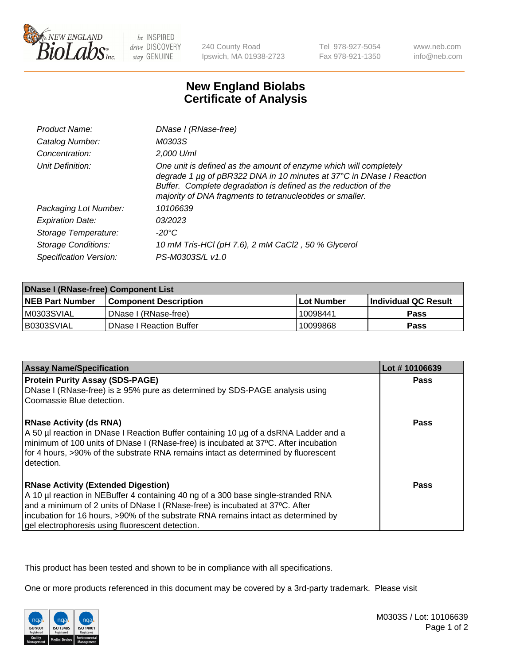

be INSPIRED drive DISCOVERY stay GENUINE

240 County Road Ipswich, MA 01938-2723

Tel 978-927-5054 Fax 978-921-1350

www.neb.com info@neb.com

## **New England Biolabs Certificate of Analysis**

| Product Name:              | DNase I (RNase-free)                                                                                                                                                                                                                                                      |
|----------------------------|---------------------------------------------------------------------------------------------------------------------------------------------------------------------------------------------------------------------------------------------------------------------------|
| Catalog Number:            | M0303S                                                                                                                                                                                                                                                                    |
| Concentration:             | 2,000 U/ml                                                                                                                                                                                                                                                                |
| Unit Definition:           | One unit is defined as the amount of enzyme which will completely<br>degrade 1 µg of pBR322 DNA in 10 minutes at 37°C in DNase I Reaction<br>Buffer. Complete degradation is defined as the reduction of the<br>majority of DNA fragments to tetranucleotides or smaller. |
| Packaging Lot Number:      | 10106639                                                                                                                                                                                                                                                                  |
| <b>Expiration Date:</b>    | 03/2023                                                                                                                                                                                                                                                                   |
| Storage Temperature:       | -20°C                                                                                                                                                                                                                                                                     |
| <b>Storage Conditions:</b> | 10 mM Tris-HCl (pH 7.6), 2 mM CaCl2, 50 % Glycerol                                                                                                                                                                                                                        |
| Specification Version:     | PS-M0303S/L v1.0                                                                                                                                                                                                                                                          |

| DNase I (RNase-free) Component List |                                |            |                             |  |
|-------------------------------------|--------------------------------|------------|-----------------------------|--|
| <b>NEB Part Number</b>              | <b>Component Description</b>   | Lot Number | <b>Individual QC Result</b> |  |
| M0303SVIAL                          | DNase I (RNase-free)           | 10098441   | <b>Pass</b>                 |  |
| I B0303SVIAL                        | <b>DNase I Reaction Buffer</b> | 10099868   | <b>Pass</b>                 |  |

| <b>Assay Name/Specification</b>                                                                                                                                                                                                                                                                                                                           | Lot #10106639 |
|-----------------------------------------------------------------------------------------------------------------------------------------------------------------------------------------------------------------------------------------------------------------------------------------------------------------------------------------------------------|---------------|
| <b>Protein Purity Assay (SDS-PAGE)</b>                                                                                                                                                                                                                                                                                                                    | Pass          |
| DNase I (RNase-free) is $\geq 95\%$ pure as determined by SDS-PAGE analysis using<br>Coomassie Blue detection.                                                                                                                                                                                                                                            |               |
| <b>RNase Activity (ds RNA)</b><br>A 50 µl reaction in DNase I Reaction Buffer containing 10 µg of a dsRNA Ladder and a<br>minimum of 100 units of DNase I (RNase-free) is incubated at 37°C. After incubation<br>for 4 hours, >90% of the substrate RNA remains intact as determined by fluorescent<br>detection.                                         | <b>Pass</b>   |
| <b>RNase Activity (Extended Digestion)</b><br>A 10 µl reaction in NEBuffer 4 containing 40 ng of a 300 base single-stranded RNA<br>and a minimum of 2 units of DNase I (RNase-free) is incubated at 37°C. After<br>incubation for 16 hours, >90% of the substrate RNA remains intact as determined by<br>gel electrophoresis using fluorescent detection. | Pass          |

This product has been tested and shown to be in compliance with all specifications.

One or more products referenced in this document may be covered by a 3rd-party trademark. Please visit